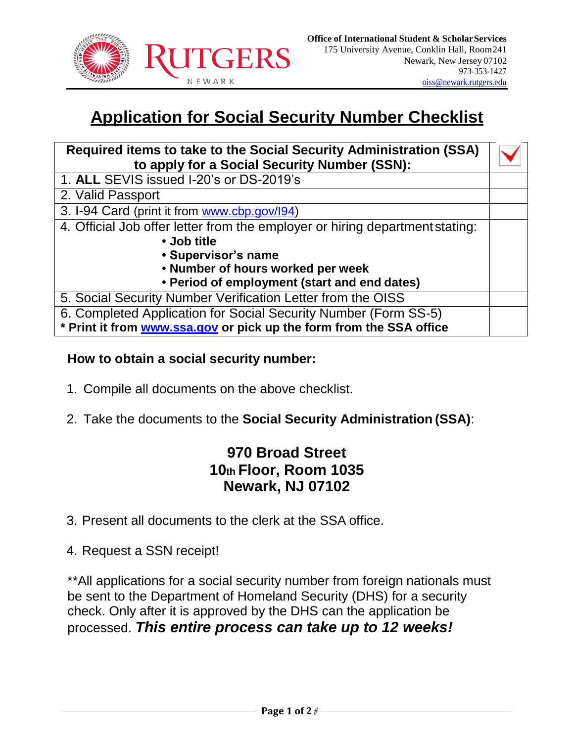

## **Application for Social Security Number Checklist**

| Required items to take to the Social Security Administration (SSA)           |  |
|------------------------------------------------------------------------------|--|
| to apply for a Social Security Number (SSN):                                 |  |
| 1. ALL SEVIS issued I-20's or DS-2019's                                      |  |
| 2. Valid Passport                                                            |  |
| 3. I-94 Card (print it from www.cbp.gov/l94)                                 |  |
| 4. Official Job offer letter from the employer or hiring department stating: |  |
| • Job title                                                                  |  |
| • Supervisor's name                                                          |  |
| • Number of hours worked per week                                            |  |
| • Period of employment (start and end dates)                                 |  |
| 5. Social Security Number Verification Letter from the OISS                  |  |
| 6. Completed Application for Social Security Number (Form SS-5)              |  |
| * Print it from www.ssa.gov or pick up the form from the SSA office          |  |

#### **How to obtain a social security number:**

- 1. Compile all documents on the above checklist.
- 2. Take the documents to the **Social Security Administration (SSA)**:

### **970 Broad Street 10th Floor, Room 1035 Newark, NJ 07102**

3. Present all documents to the clerk at the SSA office.

4. Request a SSN receipt!

\*\*All applications for a social security number from foreign nationals must be sent to the Department of Homeland Security (DHS) for a security check. Only after it is approved by the DHS can the application be processed. *This entire process can take up to 12 weeks!*